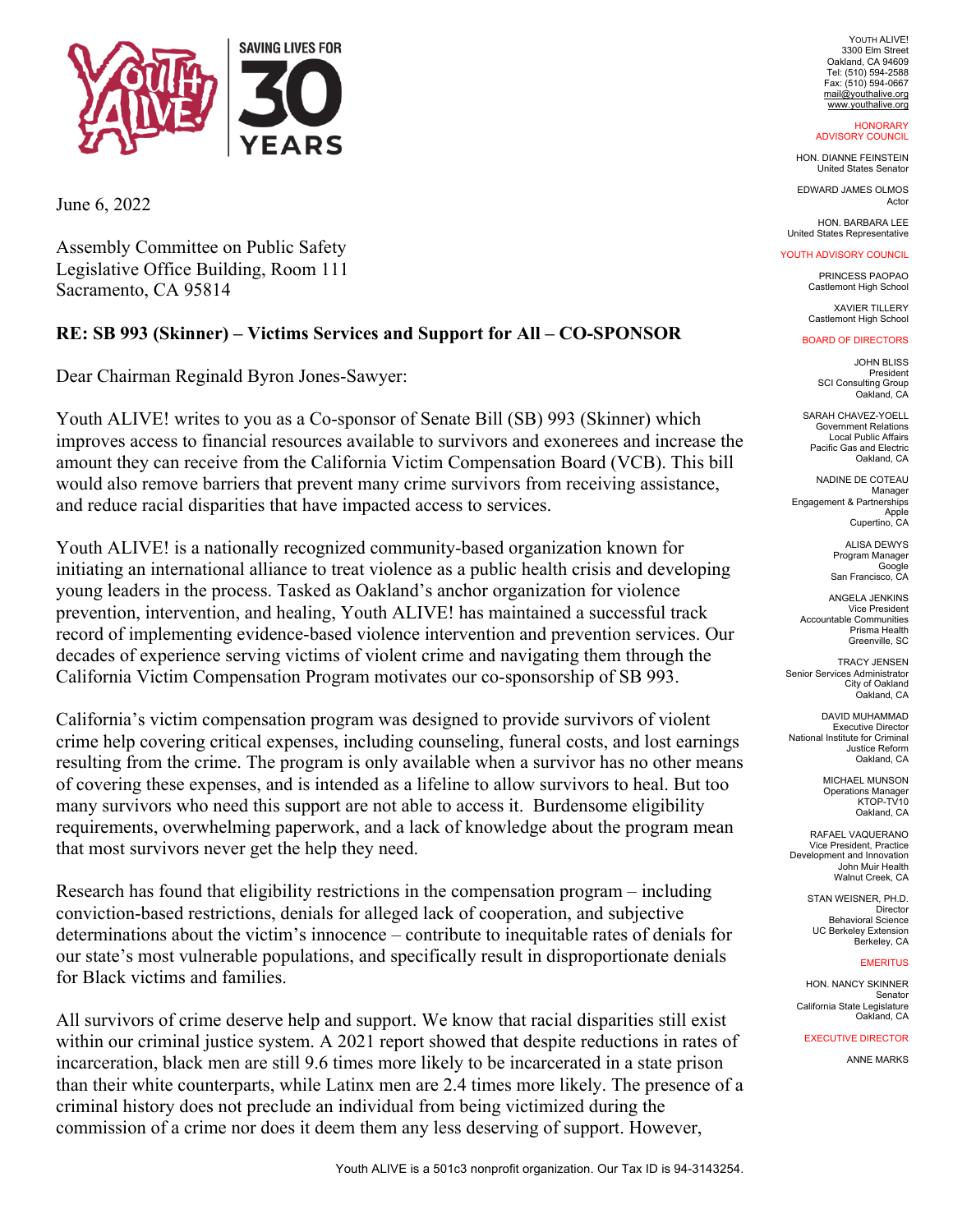

June 6, 2022

Assembly Committee on Public Safety Legislative Office Building, Room 111 Sacramento, CA 95814

## **RE: SB 993 (Skinner) – Victims Services and Support for All – CO-SPONSOR**

Dear Chairman Reginald Byron Jones-Sawyer:

Youth ALIVE! writes to you as a Co-sponsor of Senate Bill (SB) 993 (Skinner) which improves access to financial resources available to survivors and exonerees and increase the amount they can receive from the California Victim Compensation Board (VCB). This bill would also remove barriers that prevent many crime survivors from receiving assistance, and reduce racial disparities that have impacted access to services.

Youth ALIVE! is a nationally recognized community-based organization known for initiating an international alliance to treat violence as a public health crisis and developing young leaders in the process. Tasked as Oakland's anchor organization for violence prevention, intervention, and healing, Youth ALIVE! has maintained a successful track record of implementing evidence-based violence intervention and prevention services. Our decades of experience serving victims of violent crime and navigating them through the California Victim Compensation Program motivates our co-sponsorship of SB 993.

California's victim compensation program was designed to provide survivors of violent crime help covering critical expenses, including counseling, funeral costs, and lost earnings resulting from the crime. The program is only available when a survivor has no other means of covering these expenses, and is intended as a lifeline to allow survivors to heal. But too many survivors who need this support are not able to access it. Burdensome eligibility requirements, overwhelming paperwork, and a lack of knowledge about the program mean that most survivors never get the help they need.

Research has found that eligibility restrictions in the compensation program – including conviction-based restrictions, denials for alleged lack of cooperation, and subjective determinations about the victim's innocence – contribute to inequitable rates of denials for our state's most vulnerable populations, and specifically result in disproportionate denials for Black victims and families.

All survivors of crime deserve help and support. We know that racial disparities still exist within our criminal justice system. A 2021 report showed that despite reductions in rates of incarceration, black men are still 9.6 times more likely to be incarcerated in a state prison than their white counterparts, while Latinx men are 2.4 times more likely. The presence of a criminal history does not preclude an individual from being victimized during the commission of a crime nor does it deem them any less deserving of support. However,

YOUTH ALIVE! 3300 Elm Street Oakland, CA 94609 Tel: (510) 594-2588 Fax: (510) 594-0667 mail@youthalive.org www.youthalive.org

**HONORARY** ADVISORY COUNCIL

HON. DIANNE FEINSTEIN United States Senator

EDWARD JAMES OLMOS Actor

HON. BARBARA LEE United States Representative

## YOUTH ADVISORY COUNCIL

PRINCESS PAOPAO Castlemont High School

XAVIER TILLERY Castlemont High School

## BOARD OF DIRECTORS

JOHN BLISS President SCI Consulting Group Oakland, CA

SARAH CHAVEZ-YOELL Government Relations Local Public Affairs Pacific Gas and Electric Oakland, CA

NADINE DE COTEAU Manager Engagement & Partnerships Apple Cupertino, CA

> ALISA DEWYS Program Manager Google San Francisco, CA

ANGELA JENKINS Vice President Accountable Communities Prisma Health Greenville, SC

TRACY JENSEN Senior Services Administrator City of Oakland Oakland, CA

DAVID MUHAMMAD Executive Director National Institute for Criminal Justice Reform Oakland, CA

> MICHAEL MUNSON Operations Manager KTOP-TV10 Oakland, CA

RAFAEL VAQUERANO Vice President, Practice Development and Innovation John Muir Health Walnut Creek, CA

> STAN WEISNER, PH.D. Director Behavioral Science UC Berkeley Extension Berkeley, CA

## **EMERITUS**

HON. NANCY SKINNER Senator California State Legislature Oakland, CA

EXECUTIVE DIRECTOR

ANNE MARKS